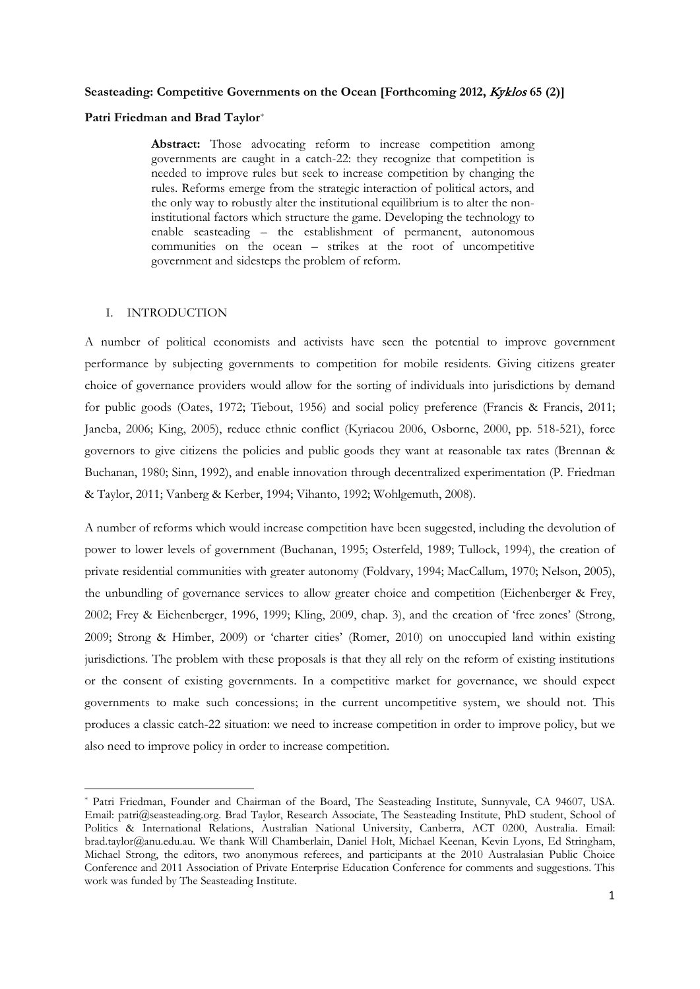# **Seasteading: Competitive Governments on the Ocean [Forthcoming 2012,** Kyklos **65 (2)]**

### **Patri Friedman and Brad Taylor**[\\*](#page-0-0)

Abstract: Those advocating reform to increase competition among governments are caught in a catch-22: they recognize that competition is needed to improve rules but seek to increase competition by changing the rules. Reforms emerge from the strategic interaction of political actors, and the only way to robustly alter the institutional equilibrium is to alter the noninstitutional factors which structure the game. Developing the technology to enable seasteading – the establishment of permanent, autonomous communities on the ocean – strikes at the root of uncompetitive government and sidesteps the problem of reform.

#### I. INTRODUCTION

**.** 

A number of political economists and activists have seen the potential to improve government performance by subjecting governments to competition for mobile residents. Giving citizens greater choice of governance providers would allow for the sorting of individuals into jurisdictions by demand for public goods (Oates, 1972; Tiebout, 1956) and social policy preference (Francis & Francis, 2011; Janeba, 2006; King, 2005), reduce ethnic conflict (Kyriacou 2006, Osborne, 2000, pp. 518-521), force governors to give citizens the policies and public goods they want at reasonable tax rates (Brennan & Buchanan, 1980; Sinn, 1992), and enable innovation through decentralized experimentation (P. Friedman & Taylor, 2011; Vanberg & Kerber, 1994; Vihanto, 1992; Wohlgemuth, 2008).

A number of reforms which would increase competition have been suggested, including the devolution of power to lower levels of government (Buchanan, 1995; Osterfeld, 1989; Tullock, 1994), the creation of private residential communities with greater autonomy (Foldvary, 1994; MacCallum, 1970; Nelson, 2005), the unbundling of governance services to allow greater choice and competition (Eichenberger & Frey, 2002; Frey & Eichenberger, 1996, 1999; Kling, 2009, chap. 3), and the creation of 'free zones' (Strong, 2009; Strong & Himber, 2009) or 'charter cities' (Romer, 2010) on unoccupied land within existing jurisdictions. The problem with these proposals is that they all rely on the reform of existing institutions or the consent of existing governments. In a competitive market for governance, we should expect governments to make such concessions; in the current uncompetitive system, we should not. This produces a classic catch-22 situation: we need to increase competition in order to improve policy, but we also need to improve policy in order to increase competition.

<span id="page-0-0"></span><sup>\*</sup> Patri Friedman, Founder and Chairman of the Board, The Seasteading Institute, Sunnyvale, CA 94607, USA. Email: patri@seasteading.org. Brad Taylor, Research Associate, The Seasteading Institute, PhD student, School of Politics & International Relations, Australian National University, Canberra, ACT 0200, Australia. Email: brad.taylor@anu.edu.au. We thank Will Chamberlain, Daniel Holt, Michael Keenan, Kevin Lyons, Ed Stringham, Michael Strong, the editors, two anonymous referees, and participants at the 2010 Australasian Public Choice Conference and 2011 Association of Private Enterprise Education Conference for comments and suggestions. This work was funded by The Seasteading Institute.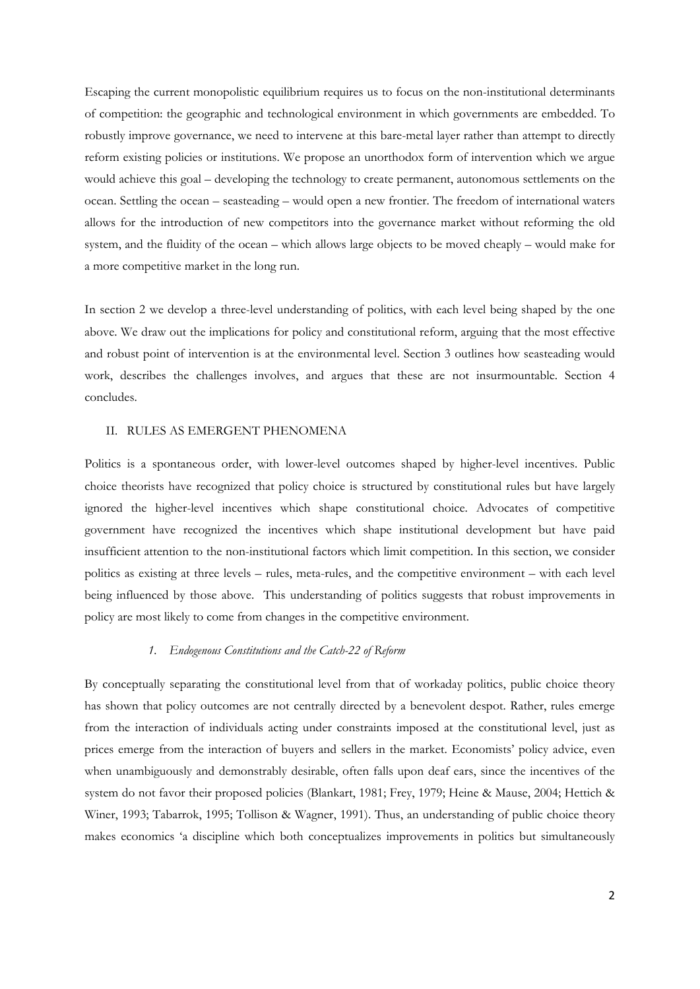Escaping the current monopolistic equilibrium requires us to focus on the non-institutional determinants of competition: the geographic and technological environment in which governments are embedded. To robustly improve governance, we need to intervene at this bare-metal layer rather than attempt to directly reform existing policies or institutions. We propose an unorthodox form of intervention which we argue would achieve this goal – developing the technology to create permanent, autonomous settlements on the ocean. Settling the ocean – seasteading – would open a new frontier. The freedom of international waters allows for the introduction of new competitors into the governance market without reforming the old system, and the fluidity of the ocean – which allows large objects to be moved cheaply – would make for a more competitive market in the long run.

In section 2 we develop a three-level understanding of politics, with each level being shaped by the one above. We draw out the implications for policy and constitutional reform, arguing that the most effective and robust point of intervention is at the environmental level. Section 3 outlines how seasteading would work, describes the challenges involves, and argues that these are not insurmountable. Section 4 concludes.

### II. RULES AS EMERGENT PHENOMENA

Politics is a spontaneous order, with lower-level outcomes shaped by higher-level incentives. Public choice theorists have recognized that policy choice is structured by constitutional rules but have largely ignored the higher-level incentives which shape constitutional choice. Advocates of competitive government have recognized the incentives which shape institutional development but have paid insufficient attention to the non-institutional factors which limit competition. In this section, we consider politics as existing at three levels – rules, meta-rules, and the competitive environment – with each level being influenced by those above. This understanding of politics suggests that robust improvements in policy are most likely to come from changes in the competitive environment.

# *1. Endogenous Constitutions and the Catch-22 of Reform*

By conceptually separating the constitutional level from that of workaday politics, public choice theory has shown that policy outcomes are not centrally directed by a benevolent despot. Rather, rules emerge from the interaction of individuals acting under constraints imposed at the constitutional level, just as prices emerge from the interaction of buyers and sellers in the market. Economists' policy advice, even when unambiguously and demonstrably desirable, often falls upon deaf ears, since the incentives of the system do not favor their proposed policies (Blankart, 1981; Frey, 1979; Heine & Mause, 2004; Hettich & Winer, 1993; Tabarrok, 1995; Tollison & Wagner, 1991). Thus, an understanding of public choice theory makes economics 'a discipline which both conceptualizes improvements in politics but simultaneously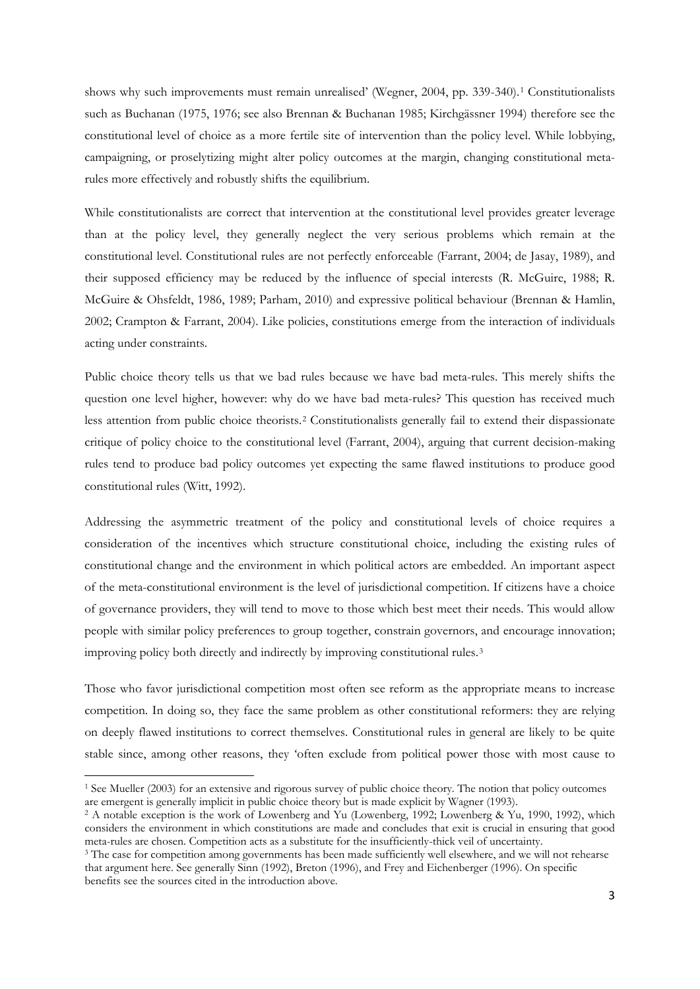shows why such improvements must remain unrealised' (Wegner, 2004, pp. 339-340).[1](#page-2-0) Constitutionalists such as Buchanan (1975, 1976; see also Brennan & Buchanan 1985; Kirchgässner 1994) therefore see the constitutional level of choice as a more fertile site of intervention than the policy level. While lobbying, campaigning, or proselytizing might alter policy outcomes at the margin, changing constitutional metarules more effectively and robustly shifts the equilibrium.

While constitutionalists are correct that intervention at the constitutional level provides greater leverage than at the policy level, they generally neglect the very serious problems which remain at the constitutional level. Constitutional rules are not perfectly enforceable (Farrant, 2004; de Jasay, 1989), and their supposed efficiency may be reduced by the influence of special interests (R. McGuire, 1988; R. McGuire & Ohsfeldt, 1986, 1989; Parham, 2010) and expressive political behaviour (Brennan & Hamlin, 2002; Crampton & Farrant, 2004). Like policies, constitutions emerge from the interaction of individuals acting under constraints.

Public choice theory tells us that we bad rules because we have bad meta-rules. This merely shifts the question one level higher, however: why do we have bad meta-rules? This question has received much less attention from public choice theorists.[2](#page-2-1) Constitutionalists generally fail to extend their dispassionate critique of policy choice to the constitutional level (Farrant, 2004), arguing that current decision-making rules tend to produce bad policy outcomes yet expecting the same flawed institutions to produce good constitutional rules (Witt, 1992).

Addressing the asymmetric treatment of the policy and constitutional levels of choice requires a consideration of the incentives which structure constitutional choice, including the existing rules of constitutional change and the environment in which political actors are embedded. An important aspect of the meta-constitutional environment is the level of jurisdictional competition. If citizens have a choice of governance providers, they will tend to move to those which best meet their needs. This would allow people with similar policy preferences to group together, constrain governors, and encourage innovation; improving policy both directly and indirectly by improving constitutional rules.[3](#page-2-2)

Those who favor jurisdictional competition most often see reform as the appropriate means to increase competition. In doing so, they face the same problem as other constitutional reformers: they are relying on deeply flawed institutions to correct themselves. Constitutional rules in general are likely to be quite stable since, among other reasons, they 'often exclude from political power those with most cause to

<span id="page-2-0"></span><sup>1</sup> See Mueller (2003) for an extensive and rigorous survey of public choice theory. The notion that policy outcomes are emergent is generally implicit in public choice theory but is made explicit by Wagner (1993).

<span id="page-2-1"></span><sup>2</sup> A notable exception is the work of Lowenberg and Yu (Lowenberg, 1992; Lowenberg & Yu, 1990, 1992), which considers the environment in which constitutions are made and concludes that exit is crucial in ensuring that good meta-rules are chosen. Competition acts as a substitute for the insufficiently-thick veil of uncertainty.

<span id="page-2-2"></span><sup>&</sup>lt;sup>3</sup> The case for competition among governments has been made sufficiently well elsewhere, and we will not rehearse that argument here. See generally Sinn (1992), Breton (1996), and Frey and Eichenberger (1996). On specific benefits see the sources cited in the introduction above.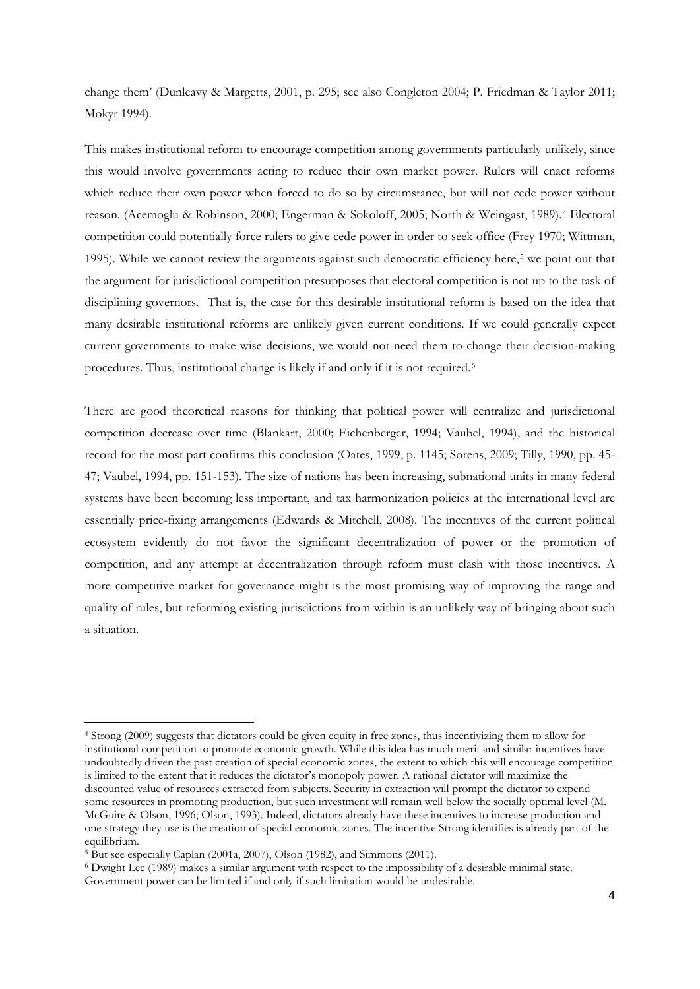change them' (Dunleavy & Margetts, 2001, p. 295; see also Congleton 2004; P. Friedman & Taylor 2011; Mokyr 1994).

This makes institutional reform to encourage competition among governments particularly unlikely, since this would involve governments acting to reduce their own market power. Rulers will enact reforms which reduce their own power when forced to do so by circumstance, but will not cede power without reason. (Acemoglu & Robinson, 2000; Engerman & Sokoloff, 2005; North & Weingast, 1989).[4](#page-3-0) Electoral competition could potentially force rulers to give cede power in order to seek office (Frey 1970; Wittman, 199[5](#page-3-1)). While we cannot review the arguments against such democratic efficiency here,<sup>5</sup> we point out that the argument for jurisdictional competition presupposes that electoral competition is not up to the task of disciplining governors. That is, the case for this desirable institutional reform is based on the idea that many desirable institutional reforms are unlikely given current conditions. If we could generally expect current governments to make wise decisions, we would not need them to change their decision-making procedures. Thus, institutional change is likely if and only if it is not required.[6](#page-3-2)

There are good theoretical reasons for thinking that political power will centralize and jurisdictional competition decrease over time (Blankart, 2000; Eichenberger, 1994; Vaubel, 1994), and the historical record for the most part confirms this conclusion (Oates, 1999, p. 1145; Sorens, 2009; Tilly, 1990, pp. 45- 47; Vaubel, 1994, pp. 151-153). The size of nations has been increasing, subnational units in many federal systems have been becoming less important, and tax harmonization policies at the international level are essentially price-fixing arrangements (Edwards & Mitchell, 2008). The incentives of the current political ecosystem evidently do not favor the significant decentralization of power or the promotion of competition, and any attempt at decentralization through reform must clash with those incentives. A more competitive market for governance might is the most promising way of improving the range and quality of rules, but reforming existing jurisdictions from within is an unlikely way of bringing about such a situation.

<span id="page-3-0"></span><sup>4</sup> Strong (2009) suggests that dictators could be given equity in free zones, thus incentivizing them to allow for institutional competition to promote economic growth. While this idea has much merit and similar incentives have undoubtedly driven the past creation of special economic zones, the extent to which this will encourage competition is limited to the extent that it reduces the dictator's monopoly power. A rational dictator will maximize the discounted value of resources extracted from subjects. Security in extraction will prompt the dictator to expend some resources in promoting production, but such investment will remain well below the socially optimal level (M. McGuire & Olson, 1996; Olson, 1993). Indeed, dictators already have these incentives to increase production and one strategy they use is the creation of special economic zones. The incentive Strong identifies is already part of the equilibrium.<br><sup>5</sup> But see especially Caplan (2001a, 2007), Olson (1982), and Simmons (2011).

<span id="page-3-1"></span>

<span id="page-3-2"></span><sup>&</sup>lt;sup>6</sup> Dwight Lee (1989) makes a similar argument with respect to the impossibility of a desirable minimal state. Government power can be limited if and only if such limitation would be undesirable.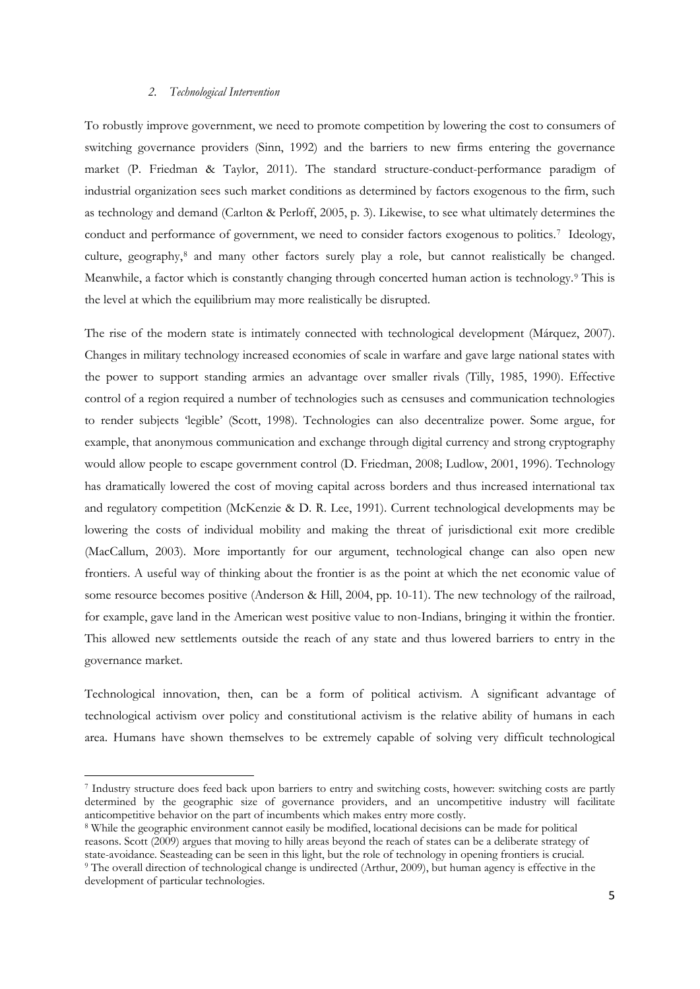### *2. Technological Intervention*

**.** 

To robustly improve government, we need to promote competition by lowering the cost to consumers of switching governance providers (Sinn, 1992) and the barriers to new firms entering the governance market (P. Friedman & Taylor, 2011). The standard structure-conduct-performance paradigm of industrial organization sees such market conditions as determined by factors exogenous to the firm, such as technology and demand (Carlton & Perloff, 2005, p. 3). Likewise, to see what ultimately determines the conduct and performance of government, we need to consider factors exogenous to politics.[7](#page-4-0) Ideology, culture, geography,<sup>[8](#page-4-1)</sup> and many other factors surely play a role, but cannot realistically be changed. Meanwhile, a factor which is constantly changing through concerted human action is technology.[9](#page-4-2) This is the level at which the equilibrium may more realistically be disrupted.

The rise of the modern state is intimately connected with technological development (Márquez, 2007). Changes in military technology increased economies of scale in warfare and gave large national states with the power to support standing armies an advantage over smaller rivals (Tilly, 1985, 1990). Effective control of a region required a number of technologies such as censuses and communication technologies to render subjects 'legible' (Scott, 1998). Technologies can also decentralize power. Some argue, for example, that anonymous communication and exchange through digital currency and strong cryptography would allow people to escape government control (D. Friedman, 2008; Ludlow, 2001, 1996). Technology has dramatically lowered the cost of moving capital across borders and thus increased international tax and regulatory competition (McKenzie & D. R. Lee, 1991). Current technological developments may be lowering the costs of individual mobility and making the threat of jurisdictional exit more credible (MacCallum, 2003). More importantly for our argument, technological change can also open new frontiers. A useful way of thinking about the frontier is as the point at which the net economic value of some resource becomes positive (Anderson & Hill, 2004, pp. 10-11). The new technology of the railroad, for example, gave land in the American west positive value to non-Indians, bringing it within the frontier. This allowed new settlements outside the reach of any state and thus lowered barriers to entry in the governance market.

Technological innovation, then, can be a form of political activism. A significant advantage of technological activism over policy and constitutional activism is the relative ability of humans in each area. Humans have shown themselves to be extremely capable of solving very difficult technological

<span id="page-4-0"></span><sup>7</sup> Industry structure does feed back upon barriers to entry and switching costs, however: switching costs are partly determined by the geographic size of governance providers, and an uncompetitive industry will facilitate anticompetitive behavior on the part of incumbents which makes entry more costly.

<span id="page-4-2"></span><span id="page-4-1"></span><sup>8</sup> While the geographic environment cannot easily be modified, locational decisions can be made for political reasons. Scott (2009) argues that moving to hilly areas beyond the reach of states can be a deliberate strategy of state-avoidance. Seasteading can be seen in this light, but the role of technology in opening frontiers is <sup>9</sup> The overall direction of technological change is undirected (Arthur, 2009), but human agency is effective in the development of particular technologies.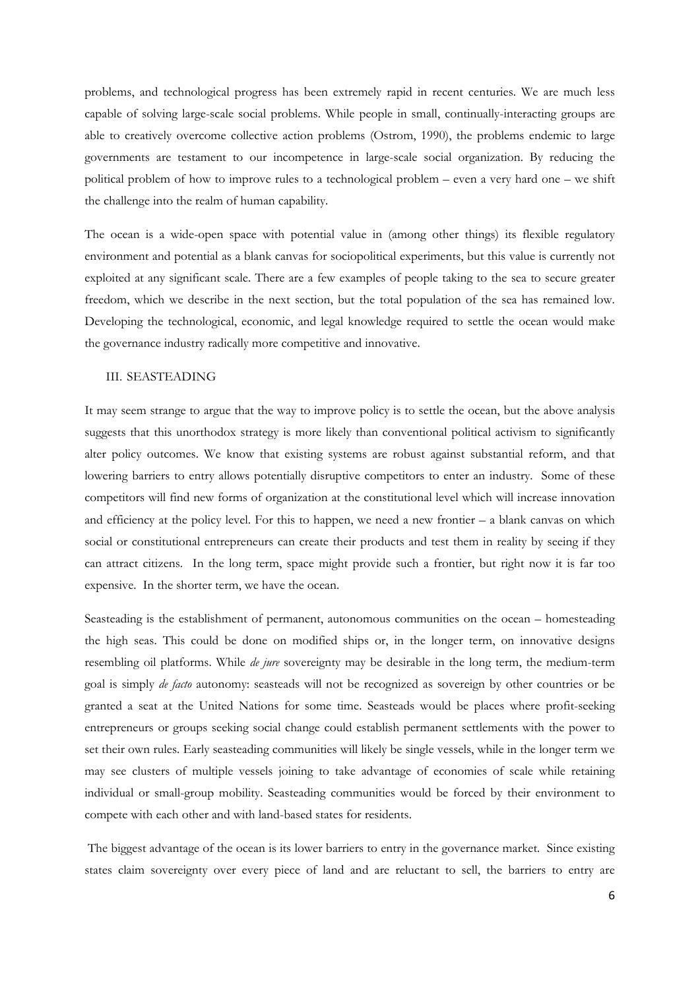problems, and technological progress has been extremely rapid in recent centuries. We are much less capable of solving large-scale social problems. While people in small, continually-interacting groups are able to creatively overcome collective action problems (Ostrom, 1990), the problems endemic to large governments are testament to our incompetence in large-scale social organization. By reducing the political problem of how to improve rules to a technological problem – even a very hard one – we shift the challenge into the realm of human capability.

The ocean is a wide-open space with potential value in (among other things) its flexible regulatory environment and potential as a blank canvas for sociopolitical experiments, but this value is currently not exploited at any significant scale. There are a few examples of people taking to the sea to secure greater freedom, which we describe in the next section, but the total population of the sea has remained low. Developing the technological, economic, and legal knowledge required to settle the ocean would make the governance industry radically more competitive and innovative.

# III. SEASTEADING

It may seem strange to argue that the way to improve policy is to settle the ocean, but the above analysis suggests that this unorthodox strategy is more likely than conventional political activism to significantly alter policy outcomes. We know that existing systems are robust against substantial reform, and that lowering barriers to entry allows potentially disruptive competitors to enter an industry. Some of these competitors will find new forms of organization at the constitutional level which will increase innovation and efficiency at the policy level. For this to happen, we need a new frontier – a blank canvas on which social or constitutional entrepreneurs can create their products and test them in reality by seeing if they can attract citizens. In the long term, space might provide such a frontier, but right now it is far too expensive. In the shorter term, we have the ocean.

Seasteading is the establishment of permanent, autonomous communities on the ocean – homesteading the high seas. This could be done on modified ships or, in the longer term, on innovative designs resembling oil platforms. While *de jure* sovereignty may be desirable in the long term, the medium-term goal is simply *de facto* autonomy: seasteads will not be recognized as sovereign by other countries or be granted a seat at the United Nations for some time. Seasteads would be places where profit-seeking entrepreneurs or groups seeking social change could establish permanent settlements with the power to set their own rules. Early seasteading communities will likely be single vessels, while in the longer term we may see clusters of multiple vessels joining to take advantage of economies of scale while retaining individual or small-group mobility. Seasteading communities would be forced by their environment to compete with each other and with land-based states for residents.

The biggest advantage of the ocean is its lower barriers to entry in the governance market. Since existing states claim sovereignty over every piece of land and are reluctant to sell, the barriers to entry are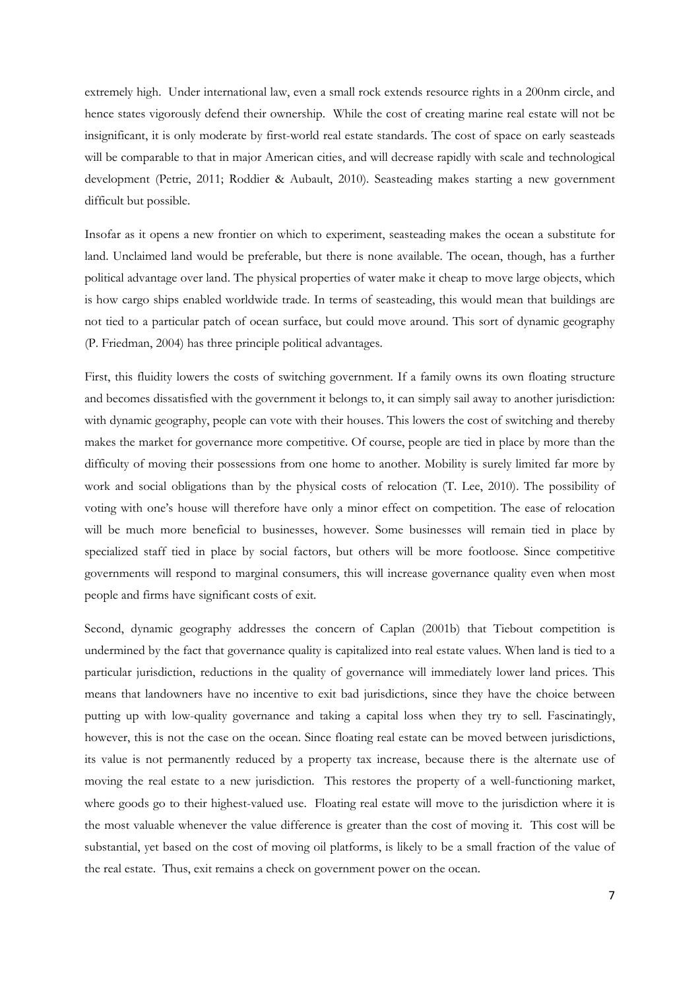extremely high. Under international law, even a small rock extends resource rights in a 200nm circle, and hence states vigorously defend their ownership. While the cost of creating marine real estate will not be insignificant, it is only moderate by first-world real estate standards. The cost of space on early seasteads will be comparable to that in major American cities, and will decrease rapidly with scale and technological development (Petrie, 2011; Roddier & Aubault, 2010). Seasteading makes starting a new government difficult but possible.

Insofar as it opens a new frontier on which to experiment, seasteading makes the ocean a substitute for land. Unclaimed land would be preferable, but there is none available. The ocean, though, has a further political advantage over land. The physical properties of water make it cheap to move large objects, which is how cargo ships enabled worldwide trade. In terms of seasteading, this would mean that buildings are not tied to a particular patch of ocean surface, but could move around. This sort of dynamic geography (P. Friedman, 2004) has three principle political advantages.

First, this fluidity lowers the costs of switching government. If a family owns its own floating structure and becomes dissatisfied with the government it belongs to, it can simply sail away to another jurisdiction: with dynamic geography, people can vote with their houses. This lowers the cost of switching and thereby makes the market for governance more competitive. Of course, people are tied in place by more than the difficulty of moving their possessions from one home to another. Mobility is surely limited far more by work and social obligations than by the physical costs of relocation (T. Lee, 2010). The possibility of voting with one's house will therefore have only a minor effect on competition. The ease of relocation will be much more beneficial to businesses, however. Some businesses will remain tied in place by specialized staff tied in place by social factors, but others will be more footloose. Since competitive governments will respond to marginal consumers, this will increase governance quality even when most people and firms have significant costs of exit.

Second, dynamic geography addresses the concern of Caplan (2001b) that Tiebout competition is undermined by the fact that governance quality is capitalized into real estate values. When land is tied to a particular jurisdiction, reductions in the quality of governance will immediately lower land prices. This means that landowners have no incentive to exit bad jurisdictions, since they have the choice between putting up with low-quality governance and taking a capital loss when they try to sell. Fascinatingly, however, this is not the case on the ocean. Since floating real estate can be moved between jurisdictions, its value is not permanently reduced by a property tax increase, because there is the alternate use of moving the real estate to a new jurisdiction. This restores the property of a well-functioning market, where goods go to their highest-valued use. Floating real estate will move to the jurisdiction where it is the most valuable whenever the value difference is greater than the cost of moving it. This cost will be substantial, yet based on the cost of moving oil platforms, is likely to be a small fraction of the value of the real estate. Thus, exit remains a check on government power on the ocean.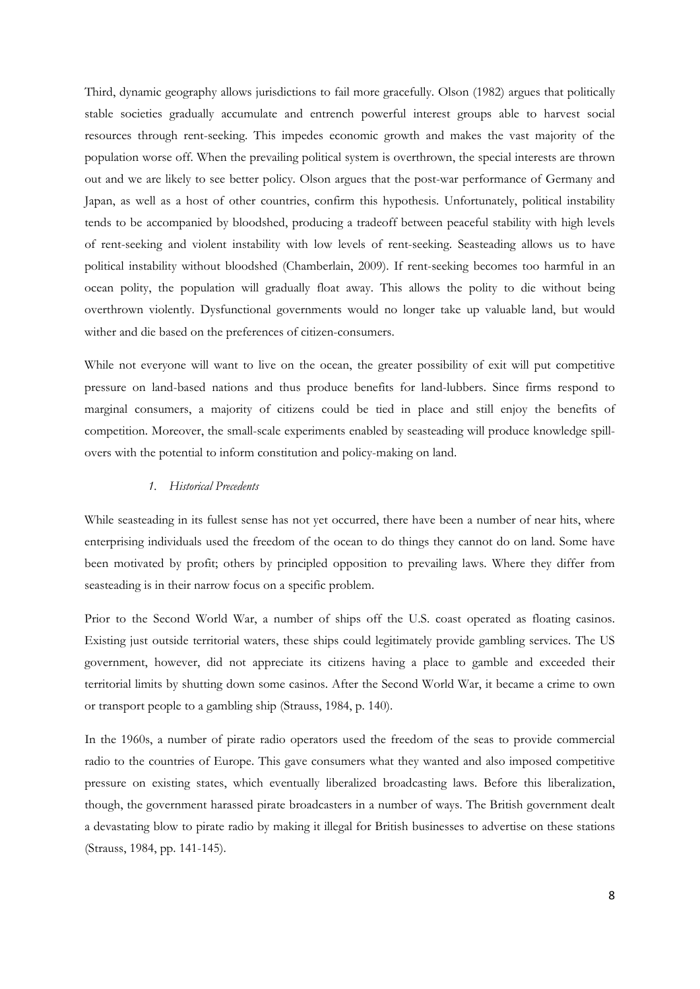Third, dynamic geography allows jurisdictions to fail more gracefully. Olson (1982) argues that politically stable societies gradually accumulate and entrench powerful interest groups able to harvest social resources through rent-seeking. This impedes economic growth and makes the vast majority of the population worse off. When the prevailing political system is overthrown, the special interests are thrown out and we are likely to see better policy. Olson argues that the post-war performance of Germany and Japan, as well as a host of other countries, confirm this hypothesis. Unfortunately, political instability tends to be accompanied by bloodshed, producing a tradeoff between peaceful stability with high levels of rent-seeking and violent instability with low levels of rent-seeking. Seasteading allows us to have political instability without bloodshed (Chamberlain, 2009). If rent-seeking becomes too harmful in an ocean polity, the population will gradually float away. This allows the polity to die without being overthrown violently. Dysfunctional governments would no longer take up valuable land, but would wither and die based on the preferences of citizen-consumers.

While not everyone will want to live on the ocean, the greater possibility of exit will put competitive pressure on land-based nations and thus produce benefits for land-lubbers. Since firms respond to marginal consumers, a majority of citizens could be tied in place and still enjoy the benefits of competition. Moreover, the small-scale experiments enabled by seasteading will produce knowledge spillovers with the potential to inform constitution and policy-making on land.

# *1. Historical Precedents*

While seasteading in its fullest sense has not yet occurred, there have been a number of near hits, where enterprising individuals used the freedom of the ocean to do things they cannot do on land. Some have been motivated by profit; others by principled opposition to prevailing laws. Where they differ from seasteading is in their narrow focus on a specific problem.

Prior to the Second World War, a number of ships off the U.S. coast operated as floating casinos. Existing just outside territorial waters, these ships could legitimately provide gambling services. The US government, however, did not appreciate its citizens having a place to gamble and exceeded their territorial limits by shutting down some casinos. After the Second World War, it became a crime to own or transport people to a gambling ship (Strauss, 1984, p. 140).

In the 1960s, a number of pirate radio operators used the freedom of the seas to provide commercial radio to the countries of Europe. This gave consumers what they wanted and also imposed competitive pressure on existing states, which eventually liberalized broadcasting laws. Before this liberalization, though, the government harassed pirate broadcasters in a number of ways. The British government dealt a devastating blow to pirate radio by making it illegal for British businesses to advertise on these stations (Strauss, 1984, pp. 141-145).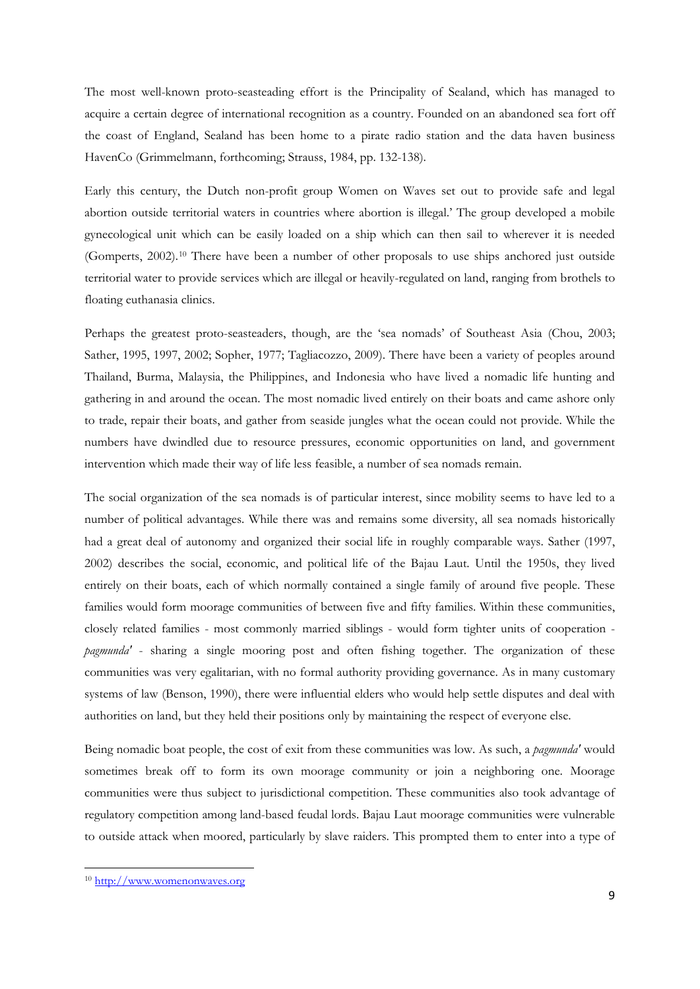The most well-known proto-seasteading effort is the Principality of Sealand, which has managed to acquire a certain degree of international recognition as a country. Founded on an abandoned sea fort off the coast of England, Sealand has been home to a pirate radio station and the data haven business HavenCo (Grimmelmann, forthcoming; Strauss, 1984, pp. 132-138).

Early this century, the Dutch non-profit group Women on Waves set out to provide safe and legal abortion outside territorial waters in countries where abortion is illegal.' The group developed a mobile gynecological unit which can be easily loaded on a ship which can then sail to wherever it is needed (Gomperts, 2002).[10](#page-8-0) There have been a number of other proposals to use ships anchored just outside territorial water to provide services which are illegal or heavily-regulated on land, ranging from brothels to floating euthanasia clinics.

Perhaps the greatest proto-seasteaders, though, are the 'sea nomads' of Southeast Asia (Chou, 2003; Sather, 1995, 1997, 2002; Sopher, 1977; Tagliacozzo, 2009). There have been a variety of peoples around Thailand, Burma, Malaysia, the Philippines, and Indonesia who have lived a nomadic life hunting and gathering in and around the ocean. The most nomadic lived entirely on their boats and came ashore only to trade, repair their boats, and gather from seaside jungles what the ocean could not provide. While the numbers have dwindled due to resource pressures, economic opportunities on land, and government intervention which made their way of life less feasible, a number of sea nomads remain.

The social organization of the sea nomads is of particular interest, since mobility seems to have led to a number of political advantages. While there was and remains some diversity, all sea nomads historically had a great deal of autonomy and organized their social life in roughly comparable ways. Sather (1997, 2002) describes the social, economic, and political life of the Bajau Laut. Until the 1950s, they lived entirely on their boats, each of which normally contained a single family of around five people. These families would form moorage communities of between five and fifty families. Within these communities, closely related families - most commonly married siblings - would form tighter units of cooperation *pagmunda'* - sharing a single mooring post and often fishing together. The organization of these communities was very egalitarian, with no formal authority providing governance. As in many customary systems of law (Benson, 1990), there were influential elders who would help settle disputes and deal with authorities on land, but they held their positions only by maintaining the respect of everyone else.

Being nomadic boat people, the cost of exit from these communities was low. As such, a *pagmunda'* would sometimes break off to form its own moorage community or join a neighboring one. Moorage communities were thus subject to jurisdictional competition. These communities also took advantage of regulatory competition among land-based feudal lords. Bajau Laut moorage communities were vulnerable to outside attack when moored, particularly by slave raiders. This prompted them to enter into a type of

<span id="page-8-0"></span><sup>10</sup> [http://www.womenonwaves.org](http://www.womenonwaves.org/)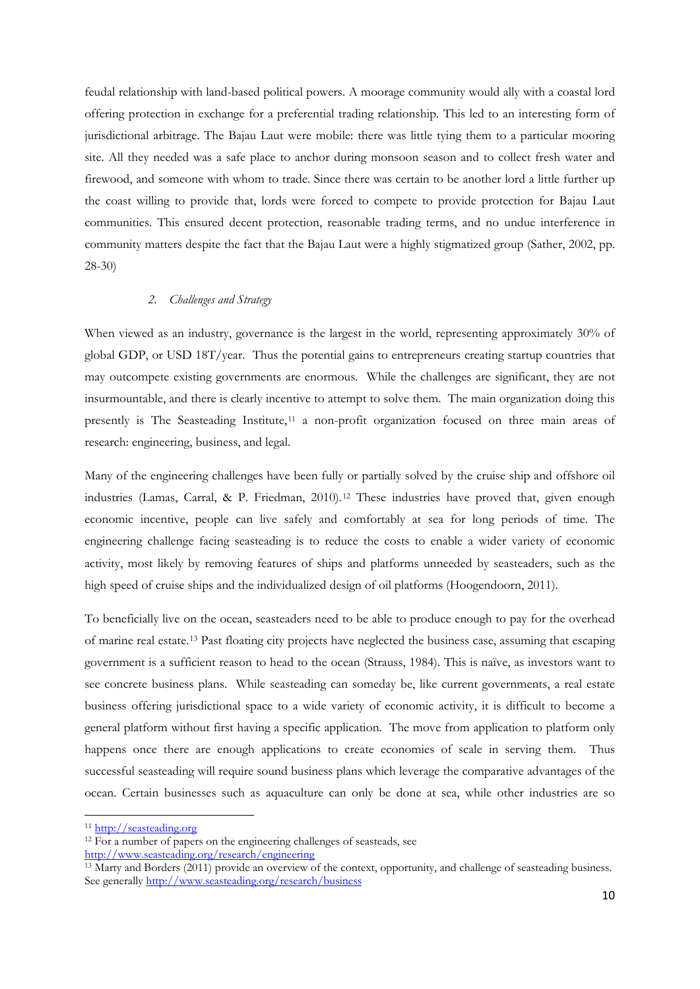feudal relationship with land-based political powers. A moorage community would ally with a coastal lord offering protection in exchange for a preferential trading relationship. This led to an interesting form of jurisdictional arbitrage. The Bajau Laut were mobile: there was little tying them to a particular mooring site. All they needed was a safe place to anchor during monsoon season and to collect fresh water and firewood, and someone with whom to trade. Since there was certain to be another lord a little further up the coast willing to provide that, lords were forced to compete to provide protection for Bajau Laut communities. This ensured decent protection, reasonable trading terms, and no undue interference in community matters despite the fact that the Bajau Laut were a highly stigmatized group (Sather, 2002, pp. 28-30)

#### *2. Challenges and Strategy*

When viewed as an industry, governance is the largest in the world, representing approximately 30% of global GDP, or USD 18T/year. Thus the potential gains to entrepreneurs creating startup countries that may outcompete existing governments are enormous. While the challenges are significant, they are not insurmountable, and there is clearly incentive to attempt to solve them. The main organization doing this presently is The Seasteading Institute,[11](#page-9-0) a non-profit organization focused on three main areas of research: engineering, business, and legal.

Many of the engineering challenges have been fully or partially solved by the cruise ship and offshore oil industries (Lamas, Carral, & P. Friedman, 2010).[12](#page-9-1) These industries have proved that, given enough economic incentive, people can live safely and comfortably at sea for long periods of time. The engineering challenge facing seasteading is to reduce the costs to enable a wider variety of economic activity, most likely by removing features of ships and platforms unneeded by seasteaders, such as the high speed of cruise ships and the individualized design of oil platforms (Hoogendoorn, 2011).

To beneficially live on the ocean, seasteaders need to be able to produce enough to pay for the overhead of marine real estate.[13](#page-9-2) Past floating city projects have neglected the business case, assuming that escaping government is a sufficient reason to head to the ocean (Strauss, 1984). This is naïve, as investors want to see concrete business plans. While seasteading can someday be, like current governments, a real estate business offering jurisdictional space to a wide variety of economic activity, it is difficult to become a general platform without first having a specific application. The move from application to platform only happens once there are enough applications to create economies of scale in serving them. Thus successful seasteading will require sound business plans which leverage the comparative advantages of the ocean. Certain businesses such as aquaculture can only be done at sea, while other industries are so

<span id="page-9-0"></span><sup>11</sup> [http://seasteading.org](http://seasteading.org/)

<span id="page-9-1"></span><sup>&</sup>lt;sup>12</sup> For a number of papers on the engineering challenges of seasteads, see <http://www.seasteading.org/research/engineering>

<span id="page-9-2"></span><sup>&</sup>lt;sup>13</sup> Marty and Borders (2011) provide an overview of the context, opportunity, and challenge of seasteading business. See generally<http://www.seasteading.org/research/business>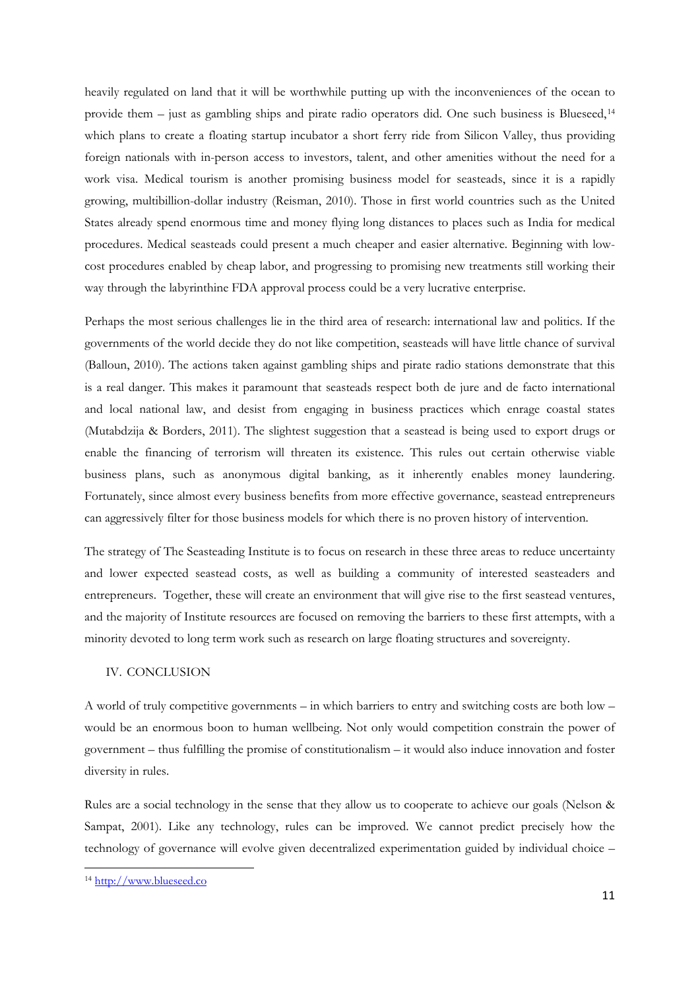heavily regulated on land that it will be worthwhile putting up with the inconveniences of the ocean to provide them – just as gambling ships and pirate radio operators did. One such business is Blueseed,[14](#page-10-0) which plans to create a floating startup incubator a short ferry ride from Silicon Valley, thus providing foreign nationals with in-person access to investors, talent, and other amenities without the need for a work visa. Medical tourism is another promising business model for seasteads, since it is a rapidly growing, multibillion-dollar industry (Reisman, 2010). Those in first world countries such as the United States already spend enormous time and money flying long distances to places such as India for medical procedures. Medical seasteads could present a much cheaper and easier alternative. Beginning with lowcost procedures enabled by cheap labor, and progressing to promising new treatments still working their way through the labyrinthine FDA approval process could be a very lucrative enterprise.

Perhaps the most serious challenges lie in the third area of research: international law and politics. If the governments of the world decide they do not like competition, seasteads will have little chance of survival (Balloun, 2010). The actions taken against gambling ships and pirate radio stations demonstrate that this is a real danger. This makes it paramount that seasteads respect both de jure and de facto international and local national law, and desist from engaging in business practices which enrage coastal states (Mutabdzija & Borders, 2011). The slightest suggestion that a seastead is being used to export drugs or enable the financing of terrorism will threaten its existence. This rules out certain otherwise viable business plans, such as anonymous digital banking, as it inherently enables money laundering. Fortunately, since almost every business benefits from more effective governance, seastead entrepreneurs can aggressively filter for those business models for which there is no proven history of intervention.

The strategy of The Seasteading Institute is to focus on research in these three areas to reduce uncertainty and lower expected seastead costs, as well as building a community of interested seasteaders and entrepreneurs. Together, these will create an environment that will give rise to the first seastead ventures, and the majority of Institute resources are focused on removing the barriers to these first attempts, with a minority devoted to long term work such as research on large floating structures and sovereignty.

#### IV. CONCLUSION

A world of truly competitive governments – in which barriers to entry and switching costs are both low – would be an enormous boon to human wellbeing. Not only would competition constrain the power of government – thus fulfilling the promise of constitutionalism – it would also induce innovation and foster diversity in rules.

Rules are a social technology in the sense that they allow us to cooperate to achieve our goals (Nelson & Sampat, 2001). Like any technology, rules can be improved. We cannot predict precisely how the technology of governance will evolve given decentralized experimentation guided by individual choice –

<span id="page-10-0"></span><sup>14</sup> [http://www.blueseed.co](http://www.blueseed.co/)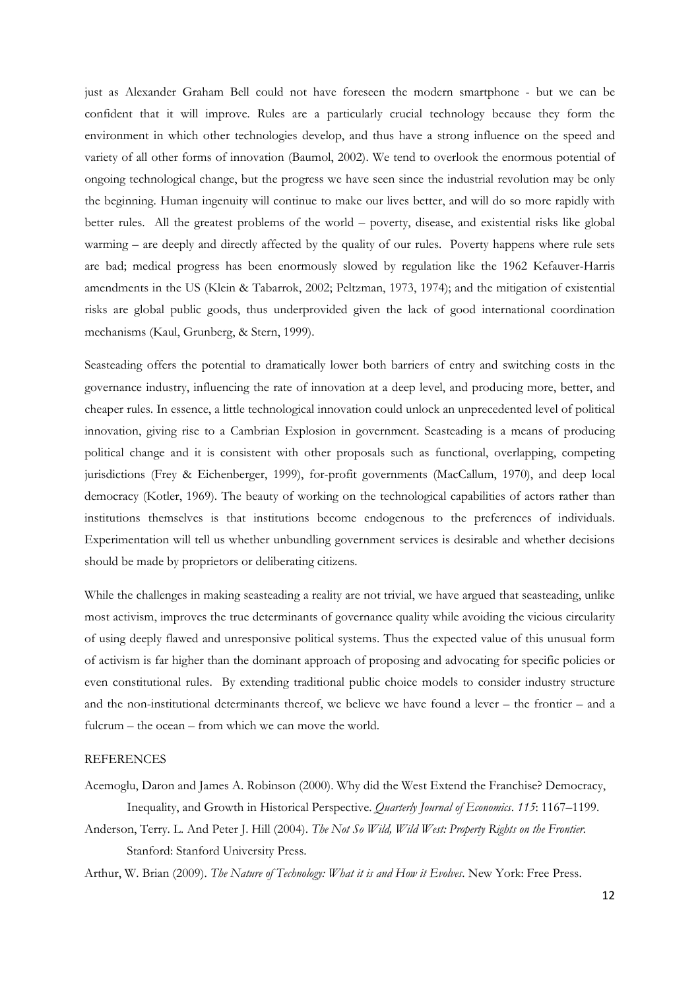just as Alexander Graham Bell could not have foreseen the modern smartphone - but we can be confident that it will improve. Rules are a particularly crucial technology because they form the environment in which other technologies develop, and thus have a strong influence on the speed and variety of all other forms of innovation (Baumol, 2002). We tend to overlook the enormous potential of ongoing technological change, but the progress we have seen since the industrial revolution may be only the beginning. Human ingenuity will continue to make our lives better, and will do so more rapidly with better rules. All the greatest problems of the world – poverty, disease, and existential risks like global warming – are deeply and directly affected by the quality of our rules. Poverty happens where rule sets are bad; medical progress has been enormously slowed by regulation like the 1962 Kefauver-Harris amendments in the US (Klein & Tabarrok, 2002; Peltzman, 1973, 1974); and the mitigation of existential risks are global public goods, thus underprovided given the lack of good international coordination mechanisms (Kaul, Grunberg, & Stern, 1999).

Seasteading offers the potential to dramatically lower both barriers of entry and switching costs in the governance industry, influencing the rate of innovation at a deep level, and producing more, better, and cheaper rules. In essence, a little technological innovation could unlock an unprecedented level of political innovation, giving rise to a Cambrian Explosion in government. Seasteading is a means of producing political change and it is consistent with other proposals such as functional, overlapping, competing jurisdictions (Frey & Eichenberger, 1999), for-profit governments (MacCallum, 1970), and deep local democracy (Kotler, 1969). The beauty of working on the technological capabilities of actors rather than institutions themselves is that institutions become endogenous to the preferences of individuals. Experimentation will tell us whether unbundling government services is desirable and whether decisions should be made by proprietors or deliberating citizens.

While the challenges in making seasteading a reality are not trivial, we have argued that seasteading, unlike most activism, improves the true determinants of governance quality while avoiding the vicious circularity of using deeply flawed and unresponsive political systems. Thus the expected value of this unusual form of activism is far higher than the dominant approach of proposing and advocating for specific policies or even constitutional rules. By extending traditional public choice models to consider industry structure and the non-institutional determinants thereof, we believe we have found a lever – the frontier – and a fulcrum – the ocean – from which we can move the world.

### REFERENCES

- Acemoglu, Daron and James A. Robinson (2000). Why did the West Extend the Franchise? Democracy, Inequality, and Growth in Historical Perspective. *Quarterly Journal of Economics*. *115*: 1167–1199.
- Anderson, Terry. L. And Peter J. Hill (2004). *The Not So Wild, Wild West: Property Rights on the Frontier.* Stanford: Stanford University Press.

Arthur, W. Brian (2009). *The Nature of Technology: What it is and How it Evolves*. New York: Free Press.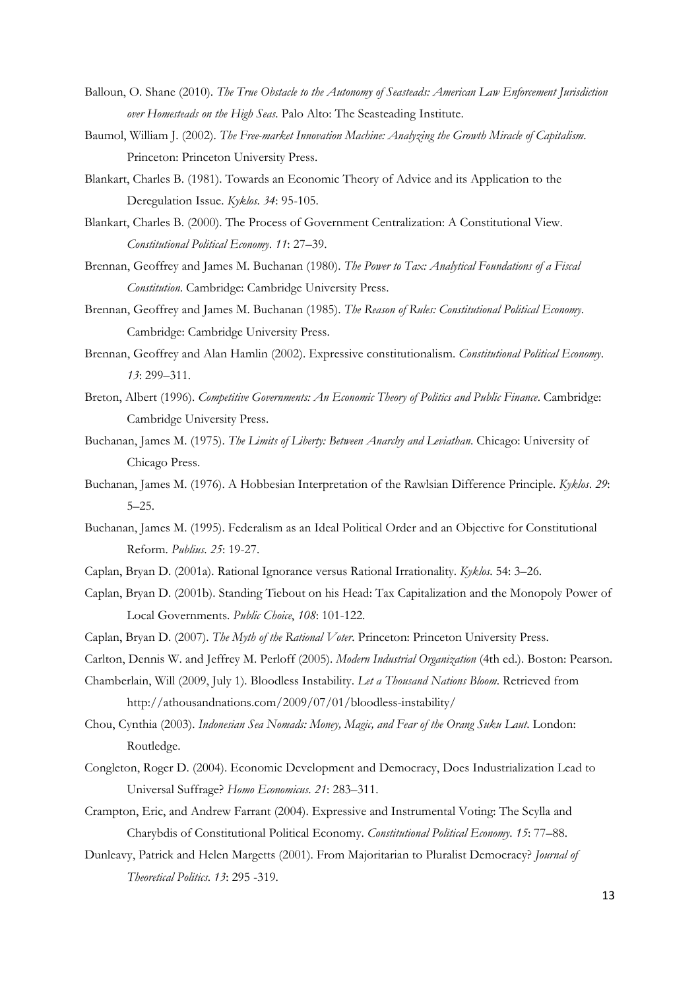- Balloun, O. Shane (2010). *The True Obstacle to the Autonomy of Seasteads: American Law Enforcement Jurisdiction over Homesteads on the High Seas*. Palo Alto: The Seasteading Institute.
- Baumol, William J. (2002). *The Free-market Innovation Machine: Analyzing the Growth Miracle of Capitalism*. Princeton: Princeton University Press.
- Blankart, Charles B. (1981). Towards an Economic Theory of Advice and its Application to the Deregulation Issue. *Kyklos*. *34*: 95-105.
- Blankart, Charles B. (2000). The Process of Government Centralization: A Constitutional View. *Constitutional Political Economy*. *11*: 27–39.
- Brennan, Geoffrey and James M. Buchanan (1980). *The Power to Tax: Analytical Foundations of a Fiscal Constitution*. Cambridge: Cambridge University Press.
- Brennan, Geoffrey and James M. Buchanan (1985). *The Reason of Rules: Constitutional Political Economy*. Cambridge: Cambridge University Press.
- Brennan, Geoffrey and Alan Hamlin (2002). Expressive constitutionalism. *Constitutional Political Economy*. *13*: 299–311.
- Breton, Albert (1996). *Competitive Governments: An Economic Theory of Politics and Public Finance*. Cambridge: Cambridge University Press.
- Buchanan, James M. (1975). *The Limits of Liberty: Between Anarchy and Leviathan*. Chicago: University of Chicago Press.
- Buchanan, James M. (1976). A Hobbesian Interpretation of the Rawlsian Difference Principle. *Kyklos*. *29*: 5–25.
- Buchanan, James M. (1995). Federalism as an Ideal Political Order and an Objective for Constitutional Reform. *Publius*. *25*: 19-27.
- Caplan, Bryan D. (2001a). Rational Ignorance versus Rational Irrationality. *Kyklos*. 54: 3–26.
- Caplan, Bryan D. (2001b). Standing Tiebout on his Head: Tax Capitalization and the Monopoly Power of Local Governments. *Public Choice*, *108*: 101-122.
- Caplan, Bryan D. (2007). *The Myth of the Rational Voter*. Princeton: Princeton University Press.
- Carlton, Dennis W. and Jeffrey M. Perloff (2005). *Modern Industrial Organization* (4th ed.). Boston: Pearson.
- Chamberlain, Will (2009, July 1). Bloodless Instability. *Let a Thousand Nations Bloom*. Retrieved from http://athousandnations.com/2009/07/01/bloodless-instability/
- Chou, Cynthia (2003). *Indonesian Sea Nomads: Money, Magic, and Fear of the Orang Suku Laut*. London: Routledge.
- Congleton, Roger D. (2004). Economic Development and Democracy, Does Industrialization Lead to Universal Suffrage? *Homo Economicus*. *21*: 283–311.
- Crampton, Eric, and Andrew Farrant (2004). Expressive and Instrumental Voting: The Scylla and Charybdis of Constitutional Political Economy. *Constitutional Political Economy*. *15*: 77–88.
- Dunleavy, Patrick and Helen Margetts (2001). From Majoritarian to Pluralist Democracy? *Journal of Theoretical Politics*. *13*: 295 -319.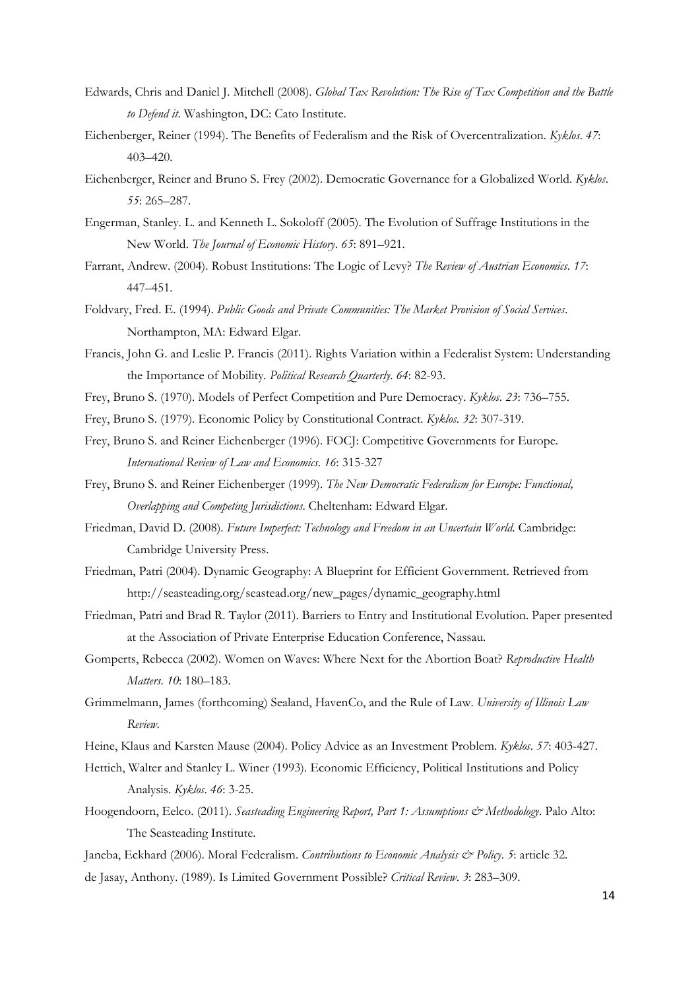- Edwards, Chris and Daniel J. Mitchell (2008). *Global Tax Revolution: The Rise of Tax Competition and the Battle to Defend it*. Washington, DC: Cato Institute.
- Eichenberger, Reiner (1994). The Benefits of Federalism and the Risk of Overcentralization. *Kyklos*. *47*: 403–420.
- Eichenberger, Reiner and Bruno S. Frey (2002). Democratic Governance for a Globalized World. *Kyklos*. *55*: 265–287.
- Engerman, Stanley. L. and Kenneth L. Sokoloff (2005). The Evolution of Suffrage Institutions in the New World. *The Journal of Economic History*. *65*: 891–921.
- Farrant, Andrew. (2004). Robust Institutions: The Logic of Levy? *The Review of Austrian Economics*. *17*: 447–451.
- Foldvary, Fred. E. (1994). *Public Goods and Private Communities: The Market Provision of Social Services*. Northampton, MA: Edward Elgar.
- Francis, John G. and Leslie P. Francis (2011). Rights Variation within a Federalist System: Understanding the Importance of Mobility. *Political Research Quarterly*. *64*: 82-93.
- Frey, Bruno S. (1970). Models of Perfect Competition and Pure Democracy. *Kyklos*. *23*: 736–755.
- Frey, Bruno S. (1979). Economic Policy by Constitutional Contract. *Kyklos*. *32*: 307-319.
- Frey, Bruno S. and Reiner Eichenberger (1996). FOCJ: Competitive Governments for Europe. *International Review of Law and Economics*. *16*: 315-327
- Frey, Bruno S. and Reiner Eichenberger (1999). *The New Democratic Federalism for Europe: Functional, Overlapping and Competing Jurisdictions*. Cheltenham: Edward Elgar.
- Friedman, David D. (2008). *Future Imperfect: Technology and Freedom in an Uncertain World*. Cambridge: Cambridge University Press.
- Friedman, Patri (2004). Dynamic Geography: A Blueprint for Efficient Government. Retrieved from http://seasteading.org/seastead.org/new\_pages/dynamic\_geography.html
- Friedman, Patri and Brad R. Taylor (2011). Barriers to Entry and Institutional Evolution. Paper presented at the Association of Private Enterprise Education Conference, Nassau.
- Gomperts, Rebecca (2002). Women on Waves: Where Next for the Abortion Boat? *Reproductive Health Matters*. *10*: 180–183.
- Grimmelmann, James (forthcoming) Sealand, HavenCo, and the Rule of Law. *University of Illinois Law Review*.
- Heine, Klaus and Karsten Mause (2004). Policy Advice as an Investment Problem. *Kyklos*. *57*: 403-427.
- Hettich, Walter and Stanley L. Winer (1993). Economic Efficiency, Political Institutions and Policy Analysis. *Kyklos*. *46*: 3-25.
- Hoogendoorn, Eelco. (2011). *Seasteading Engineering Report, Part 1: Assumptions & Methodology*. Palo Alto: The Seasteading Institute.
- Janeba, Eckhard (2006). Moral Federalism. *Contributions to Economic Analysis & Policy*. 5: article 32.
- de Jasay, Anthony. (1989). Is Limited Government Possible? *Critical Review*. *3*: 283–309.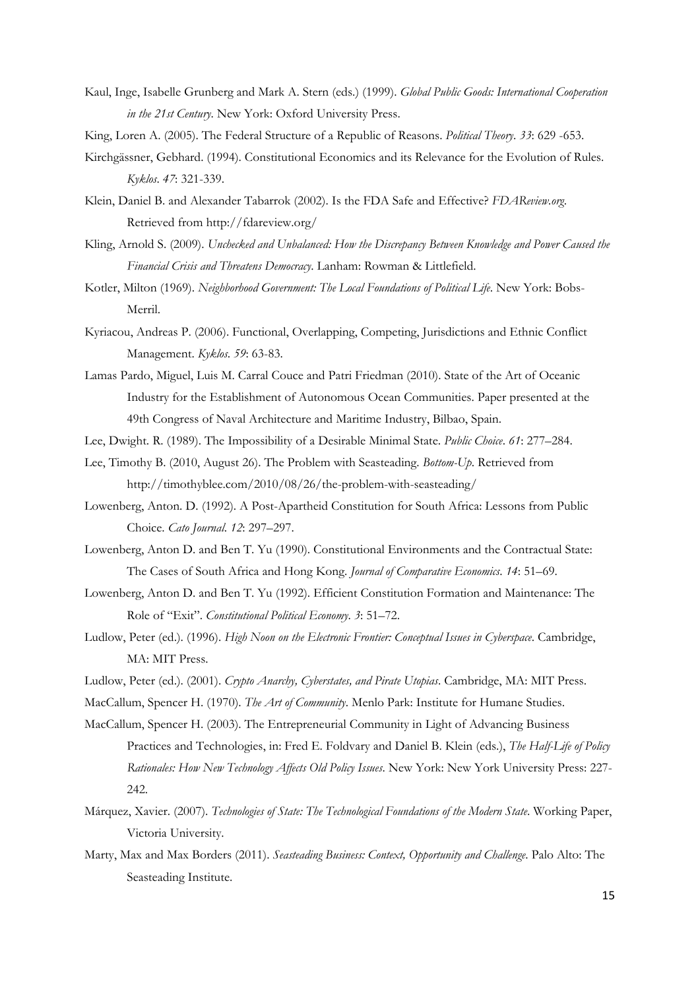- Kaul, Inge, Isabelle Grunberg and Mark A. Stern (eds.) (1999). *Global Public Goods: International Cooperation in the 21st Century*. New York: Oxford University Press.
- King, Loren A. (2005). The Federal Structure of a Republic of Reasons. *Political Theory*. *33*: 629 -653.
- Kirchgässner, Gebhard. (1994). Constitutional Economics and its Relevance for the Evolution of Rules. *Kyklos*. *47*: 321-339.
- Klein, Daniel B. and Alexander Tabarrok (2002). Is the FDA Safe and Effective? *FDAReview.org*. Retrieved from http://fdareview.org/
- Kling, Arnold S. (2009). *Unchecked and Unbalanced: How the Discrepancy Between Knowledge and Power Caused the Financial Crisis and Threatens Democracy*. Lanham: Rowman & Littlefield.
- Kotler, Milton (1969). *Neighborhood Government: The Local Foundations of Political Life*. New York: Bobs-Merril.
- Kyriacou, Andreas P. (2006). Functional, Overlapping, Competing, Jurisdictions and Ethnic Conflict Management. *Kyklos*. *59*: 63-83.
- Lamas Pardo, Miguel, Luis M. Carral Couce and Patri Friedman (2010). State of the Art of Oceanic Industry for the Establishment of Autonomous Ocean Communities. Paper presented at the 49th Congress of Naval Architecture and Maritime Industry, Bilbao, Spain.
- Lee, Dwight. R. (1989). The Impossibility of a Desirable Minimal State. *Public Choice*. *61*: 277–284.
- Lee, Timothy B. (2010, August 26). The Problem with Seasteading. *Bottom-Up*. Retrieved from http://timothyblee.com/2010/08/26/the-problem-with-seasteading/
- Lowenberg, Anton. D. (1992). A Post-Apartheid Constitution for South Africa: Lessons from Public Choice. *Cato Journal*. *12*: 297–297.
- Lowenberg, Anton D. and Ben T. Yu (1990). Constitutional Environments and the Contractual State: The Cases of South Africa and Hong Kong. *Journal of Comparative Economics*. *14*: 51–69.
- Lowenberg, Anton D. and Ben T. Yu (1992). Efficient Constitution Formation and Maintenance: The Role of "Exit". *Constitutional Political Economy*. *3*: 51–72.
- Ludlow, Peter (ed.). (1996). *High Noon on the Electronic Frontier: Conceptual Issues in Cyberspace*. Cambridge, MA: MIT Press.
- Ludlow, Peter (ed.). (2001). *Crypto Anarchy, Cyberstates, and Pirate Utopias*. Cambridge, MA: MIT Press.
- MacCallum, Spencer H. (1970). *The Art of Community*. Menlo Park: Institute for Humane Studies.
- MacCallum, Spencer H. (2003). The Entrepreneurial Community in Light of Advancing Business Practices and Technologies, in: Fred E. Foldvary and Daniel B. Klein (eds.), *The Half-Life of Policy Rationales: How New Technology Affects Old Policy Issues*. New York: New York University Press: 227- 242.
- Márquez, Xavier. (2007). *Technologies of State: The Technological Foundations of the Modern State*. Working Paper, Victoria University.
- Marty, Max and Max Borders (2011). *Seasteading Business: Context, Opportunity and Challenge*. Palo Alto: The Seasteading Institute.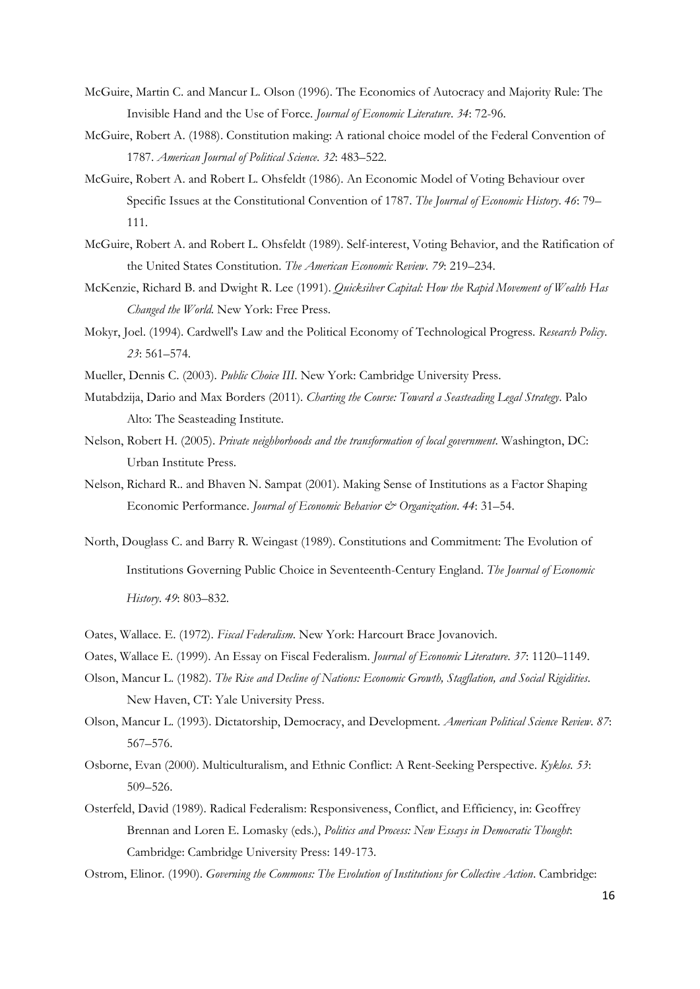- McGuire, Martin C. and Mancur L. Olson (1996). The Economics of Autocracy and Majority Rule: The Invisible Hand and the Use of Force. *Journal of Economic Literature*. *34*: 72-96.
- McGuire, Robert A. (1988). Constitution making: A rational choice model of the Federal Convention of 1787. *American Journal of Political Science*. *32*: 483–522.
- McGuire, Robert A. and Robert L. Ohsfeldt (1986). An Economic Model of Voting Behaviour over Specific Issues at the Constitutional Convention of 1787. *The Journal of Economic History*. *46*: 79– 111.
- McGuire, Robert A. and Robert L. Ohsfeldt (1989). Self-interest, Voting Behavior, and the Ratification of the United States Constitution. *The American Economic Review*. *79*: 219–234.
- McKenzie, Richard B. and Dwight R. Lee (1991). *Quicksilver Capital: How the Rapid Movement of Wealth Has Changed the World*. New York: Free Press.
- Mokyr, Joel. (1994). Cardwell's Law and the Political Economy of Technological Progress. *Research Policy*. *23*: 561–574.
- Mueller, Dennis C. (2003). *Public Choice III*. New York: Cambridge University Press.
- Mutabdzija, Dario and Max Borders (2011). *Charting the Course: Toward a Seasteading Legal Strategy*. Palo Alto: The Seasteading Institute.
- Nelson, Robert H. (2005). *Private neighborhoods and the transformation of local government*. Washington, DC: Urban Institute Press.
- Nelson, Richard R.. and Bhaven N. Sampat (2001). Making Sense of Institutions as a Factor Shaping Economic Performance. *Journal of Economic Behavior & Organization*. *44*: 31–54.
- North, Douglass C. and Barry R. Weingast (1989). Constitutions and Commitment: The Evolution of Institutions Governing Public Choice in Seventeenth-Century England. *The Journal of Economic History*. *49*: 803–832.
- Oates, Wallace. E. (1972). *Fiscal Federalism*. New York: Harcourt Brace Jovanovich.
- Oates, Wallace E. (1999). An Essay on Fiscal Federalism. *Journal of Economic Literature*. *37*: 1120–1149.
- Olson, Mancur L. (1982). *The Rise and Decline of Nations: Economic Growth, Stagflation, and Social Rigidities*. New Haven, CT: Yale University Press.
- Olson, Mancur L. (1993). Dictatorship, Democracy, and Development. *American Political Science Review*. *87*: 567–576.
- Osborne, Evan (2000). Multiculturalism, and Ethnic Conflict: A Rent-Seeking Perspective. *Kyklos*. *53*: 509–526.
- Osterfeld, David (1989). Radical Federalism: Responsiveness, Conflict, and Efficiency, in: Geoffrey Brennan and Loren E. Lomasky (eds.), *Politics and Process: New Essays in Democratic Thought*: Cambridge: Cambridge University Press: 149-173.
- Ostrom, Elinor. (1990). *Governing the Commons: The Evolution of Institutions for Collective Action*. Cambridge: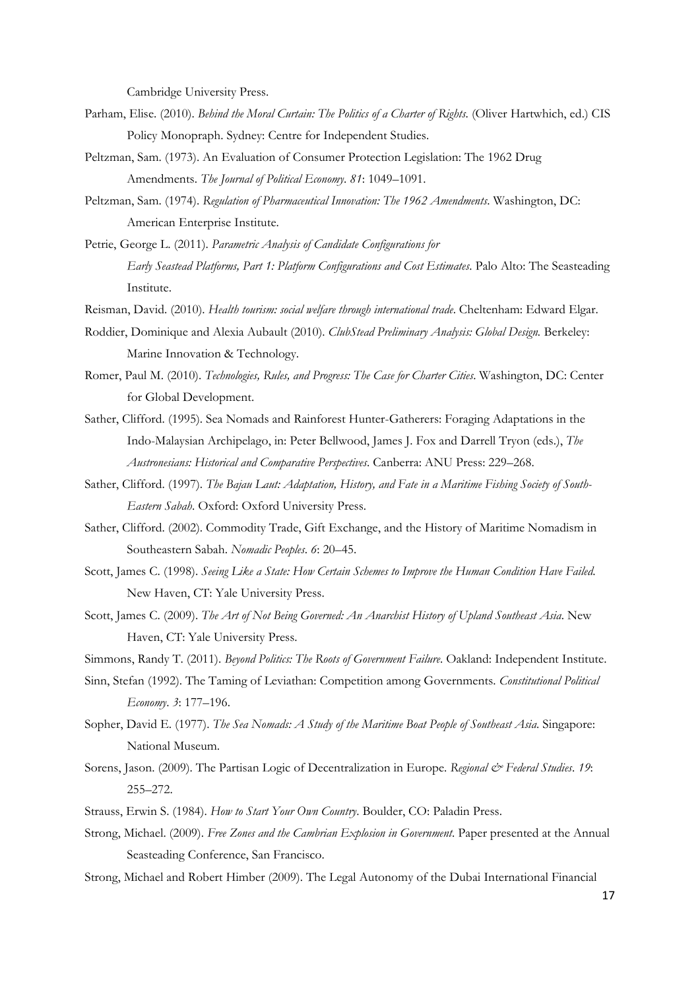Cambridge University Press.

- Parham, Elise. (2010). *Behind the Moral Curtain: The Politics of a Charter of Rights*. (Oliver Hartwhich, ed.) CIS Policy Monopraph. Sydney: Centre for Independent Studies.
- Peltzman, Sam. (1973). An Evaluation of Consumer Protection Legislation: The 1962 Drug Amendments. *The Journal of Political Economy*. *81*: 1049–1091.
- Peltzman, Sam. (1974). *Regulation of Pharmaceutical Innovation: The 1962 Amendments*. Washington, DC: American Enterprise Institute.

Petrie, George L. (2011). *Parametric Analysis of Candidate Configurations for Early Seastead Platforms, Part 1: Platform Configurations and Cost Estimates*. Palo Alto: The Seasteading Institute.

Reisman, David. (2010). *Health tourism: social welfare through international trade*. Cheltenham: Edward Elgar.

- Roddier, Dominique and Alexia Aubault (2010). *ClubStead Preliminary Analysis: Global Design.* Berkeley: Marine Innovation & Technology.
- Romer, Paul M. (2010). *Technologies, Rules, and Progress: The Case for Charter Cities*. Washington, DC: Center for Global Development.
- Sather, Clifford. (1995). Sea Nomads and Rainforest Hunter-Gatherers: Foraging Adaptations in the Indo-Malaysian Archipelago, in: Peter Bellwood, James J. Fox and Darrell Tryon (eds.), *The Austronesians: Historical and Comparative Perspectives*. Canberra: ANU Press: 229–268.
- Sather, Clifford. (1997). *The Bajau Laut: Adaptation, History, and Fate in a Maritime Fishing Society of South-Eastern Sabah*. Oxford: Oxford University Press.
- Sather, Clifford. (2002). Commodity Trade, Gift Exchange, and the History of Maritime Nomadism in Southeastern Sabah. *Nomadic Peoples*. *6*: 20–45.
- Scott, James C. (1998). *Seeing Like a State: How Certain Schemes to Improve the Human Condition Have Failed*. New Haven, CT: Yale University Press.
- Scott, James C. (2009). *The Art of Not Being Governed: An Anarchist History of Upland Southeast Asia*. New Haven, CT: Yale University Press.
- Simmons, Randy T. (2011). *Beyond Politics: The Roots of Government Failure*. Oakland: Independent Institute.
- Sinn, Stefan (1992). The Taming of Leviathan: Competition among Governments. *Constitutional Political Economy*. *3*: 177–196.
- Sopher, David E. (1977). *The Sea Nomads: A Study of the Maritime Boat People of Southeast Asia*. Singapore: National Museum.
- Sorens, Jason. (2009). The Partisan Logic of Decentralization in Europe. *Regional & Federal Studies*. 19: 255–272.
- Strauss, Erwin S. (1984). *How to Start Your Own Country*. Boulder, CO: Paladin Press.
- Strong, Michael. (2009). *Free Zones and the Cambrian Explosion in Government*. Paper presented at the Annual Seasteading Conference, San Francisco.
- Strong, Michael and Robert Himber (2009). The Legal Autonomy of the Dubai International Financial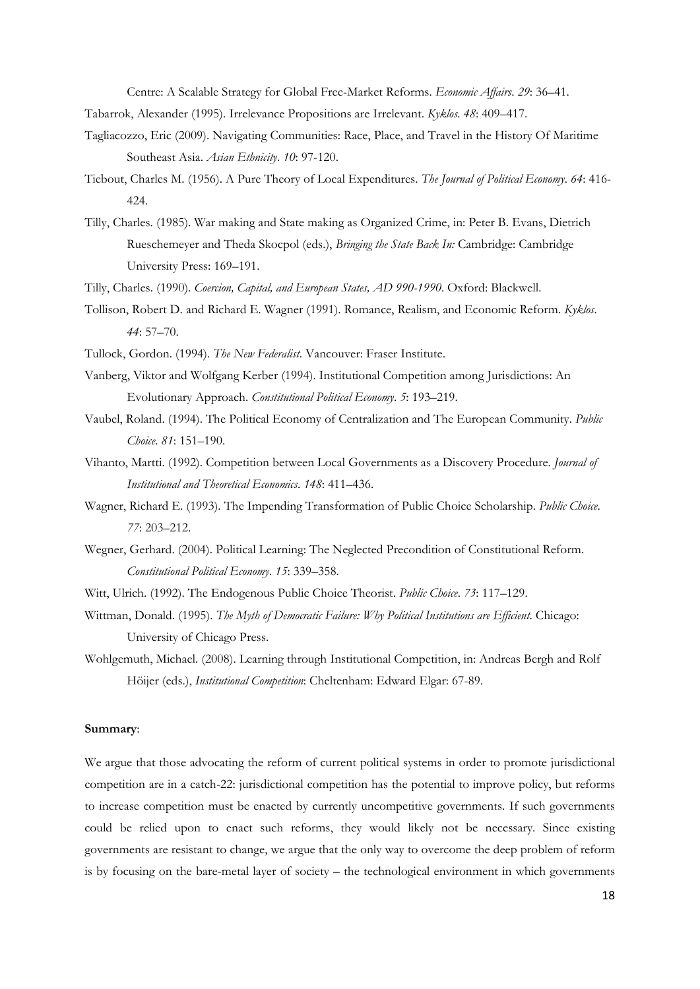Centre: A Scalable Strategy for Global Free-Market Reforms. *Economic Affairs*. *29*: 36–41.

- Tabarrok, Alexander (1995). Irrelevance Propositions are Irrelevant. *Kyklos*. *48*: 409–417.
- Tagliacozzo, Eric (2009). Navigating Communities: Race, Place, and Travel in the History Of Maritime Southeast Asia. *Asian Ethnicity*. *10*: 97-120.
- Tiebout, Charles M. (1956). A Pure Theory of Local Expenditures. *The Journal of Political Economy*. *64*: 416- 424.
- Tilly, Charles. (1985). War making and State making as Organized Crime, in: Peter B. Evans, Dietrich Rueschemeyer and Theda Skocpol (eds.), *Bringing the State Back In:* Cambridge: Cambridge University Press: 169–191.
- Tilly, Charles. (1990). *Coercion, Capital, and European States, AD 990-1990*. Oxford: Blackwell.
- Tollison, Robert D. and Richard E. Wagner (1991). Romance, Realism, and Economic Reform. *Kyklos*. *44*: 57–70.
- Tullock, Gordon. (1994). *The New Federalist*. Vancouver: Fraser Institute.
- Vanberg, Viktor and Wolfgang Kerber (1994). Institutional Competition among Jurisdictions: An Evolutionary Approach. *Constitutional Political Economy*. *5*: 193–219.
- Vaubel, Roland. (1994). The Political Economy of Centralization and The European Community. *Public Choice*. *81*: 151–190.
- Vihanto, Martti. (1992). Competition between Local Governments as a Discovery Procedure. *Journal of Institutional and Theoretical Economics*. *148*: 411–436.
- Wagner, Richard E. (1993). The Impending Transformation of Public Choice Scholarship. *Public Choice*. *77*: 203–212.
- Wegner, Gerhard. (2004). Political Learning: The Neglected Precondition of Constitutional Reform. *Constitutional Political Economy*. *15*: 339–358.
- Witt, Ulrich. (1992). The Endogenous Public Choice Theorist. *Public Choice*. *73*: 117–129.
- Wittman, Donald. (1995). *The Myth of Democratic Failure: Why Political Institutions are Efficient*. Chicago: University of Chicago Press.
- Wohlgemuth, Michael. (2008). Learning through Institutional Competition, in: Andreas Bergh and Rolf Höijer (eds.), *Institutional Competition*: Cheltenham: Edward Elgar: 67-89.

# **Summary**:

We argue that those advocating the reform of current political systems in order to promote jurisdictional competition are in a catch-22: jurisdictional competition has the potential to improve policy, but reforms to increase competition must be enacted by currently uncompetitive governments. If such governments could be relied upon to enact such reforms, they would likely not be necessary. Since existing governments are resistant to change, we argue that the only way to overcome the deep problem of reform is by focusing on the bare-metal layer of society – the technological environment in which governments